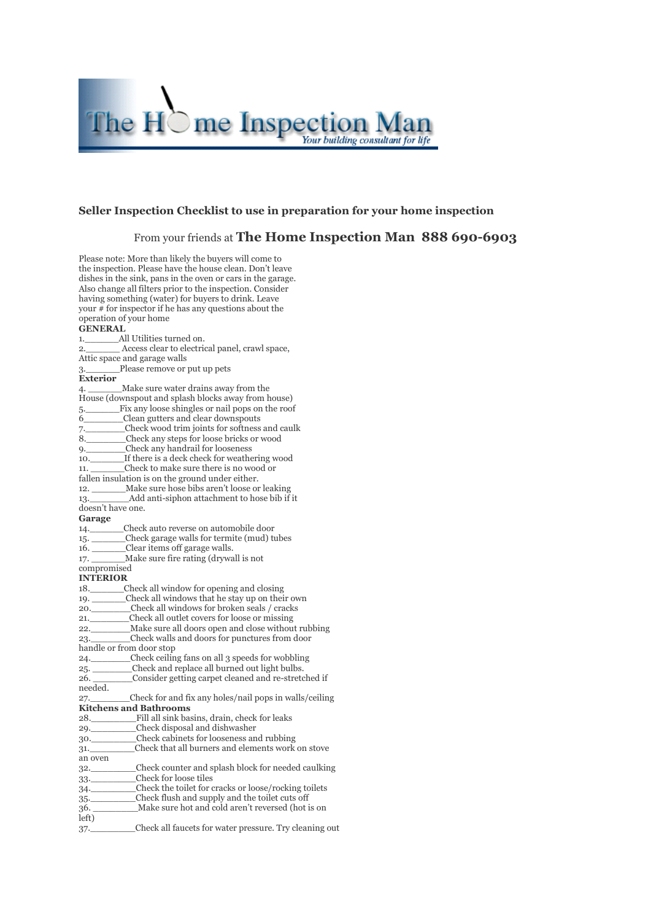

#### **Seller Inspection Checklist to use in preparation for your home inspection**

### From your friends at **The Home Inspection Man 888 690-6903**

Please note: More than likely the buyers will come to the inspection. Please have the house clean. Don't leave dishes in the sink, pans in the oven or cars in the garage. Also change all filters prior to the inspection. Consider having something (water) for buyers to drink. Leave your # for inspector if he has any questions about the operation of your home **GENERAL** 1. All Utilities turned on. 2.\_\_\_\_\_\_ Access clear to electrical panel, crawl space, Attic space and garage walls 3. Please remove or put up pets **Exterior** 4. \_\_\_\_\_\_Make sure water drains away from the House (downspout and splash blocks away from house) 5.\_\_\_\_\_\_Fix any loose shingles or nail pops on the roof 6\_\_\_\_\_\_\_Clean gutters and clear downspouts 7. Check wood trim joints for softness and caulk<br>8. Check any steps for loose bricks or wood Check any steps for loose bricks or wood 9. Check any handrail for looseness 10. If there is a deck check for weathering wood 11. \_\_\_\_\_\_Check to make sure there is no wood or fallen insulation is on the ground under either. 12. Make sure hose bibs aren't loose or leaking 13. Add anti-siphon attachment to hose bib if it doesn't have one. **Garage** 14. Check auto reverse on automobile door 15. \_\_\_\_\_\_\_\_\_Check garage walls for termite (mud) tubes 16. \_\_\_\_\_\_Clear items off garage walls. 17. Make sure fire rating (drywall is not compromised **INTERIOR** 18.\_\_\_\_\_\_Check all window for opening and closing 19. \_\_\_\_\_\_Check all windows that he stay up on their own 20.\_\_\_\_\_\_\_Check all windows for broken seals / cracks 21. Check all outlet covers for loose or missing 22.\_\_\_\_\_\_\_Make sure all doors open and close without rubbing 23.\_\_\_\_\_\_\_Check walls and doors for punctures from door handle or from door stop 24. Check ceiling fans on all 3 speeds for wobbling 25. Check and replace all burned out light bulbs. 26. \_\_\_\_\_\_\_Consider getting carpet cleaned and re-stretched if needed. 27.\_\_\_\_\_\_\_Check for and fix any holes/nail pops in walls/ceiling **Kitchens and Bathrooms** 28. Fill all sink basins, drain, check for leaks 29. Check disposal and dishwasher 30.\_\_\_\_\_\_\_\_Check cabinets for looseness and rubbing 31.\_\_\_\_\_\_\_\_Check that all burners and elements work on stove an oven 32.\_\_\_\_\_\_\_\_Check counter and splash block for needed caulking 33.\_\_\_\_\_\_\_\_Check for loose tiles 34.\_\_\_\_\_\_\_\_Check the toilet for cracks or loose/rocking toilets 35. Check flush and supply and the toilet cuts off 36. Make sure hot and cold aren't reversed (hot is on left) 37.\_\_\_\_\_\_\_\_Check all faucets for water pressure. Try cleaning out